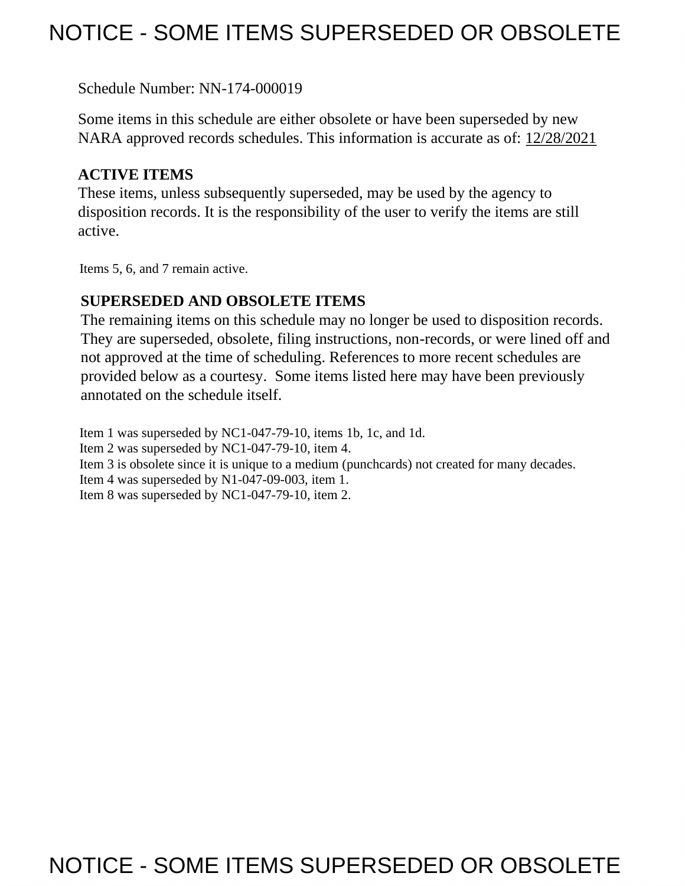# NOTICE - SOME ITEMS SUPERSEDED OR OBSOLETE

Schedule Number: NN-174-000019

 Some items in this schedule are either obsolete or have been superseded by new NARA approved records schedules. This information is accurate as of: 12/28/2021

## **ACTIVE ITEMS**

 These items, unless subsequently superseded, may be used by the agency to disposition records. It is the responsibility of the user to verify the items are still active.

Items 5, 6, and 7 remain active.

## **SUPERSEDED AND OBSOLETE ITEMS**

 The remaining items on this schedule may no longer be used to disposition records. not approved at the time of scheduling. References to more recent schedules are provided below as a courtesy. Some items listed here may have been previously They are superseded, obsolete, filing instructions, non-records, or were lined off and annotated on the schedule itself.

Item 1 was superseded by NC1-047-79-10, items 1b, 1c, and 1d. Item 2 was superseded by NC1-047-79-10, item 4. Item 3 is obsolete since it is unique to a medium (punchcards) not created for many decades. Item 4 was superseded by N1-047-09-003, item 1. Item 8 was superseded by NC1-047-79-10, item 2.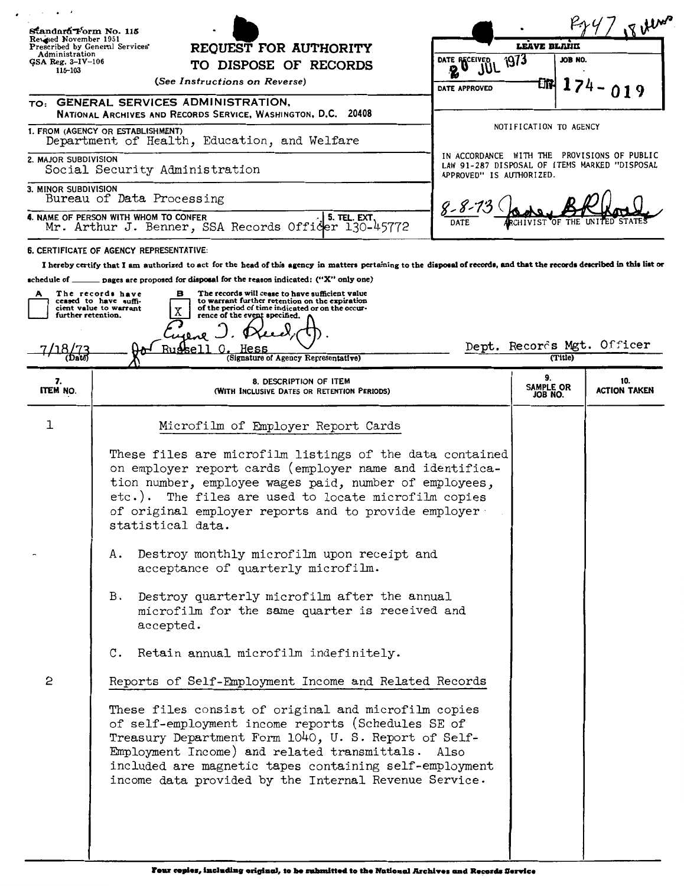| Standard Form No. 115<br>Revised November 1951                             |                                                                                                                                                                                                                                                                                                                                           |                                           |                            | $\frac{4}{18}$ where                                                                         |
|----------------------------------------------------------------------------|-------------------------------------------------------------------------------------------------------------------------------------------------------------------------------------------------------------------------------------------------------------------------------------------------------------------------------------------|-------------------------------------------|----------------------------|----------------------------------------------------------------------------------------------|
| Prescribed by General Services'<br>REQUEST FOR AUTHORITY<br>Administration |                                                                                                                                                                                                                                                                                                                                           | LEAVE BLAIK<br><b>JUL 1973</b><br>JOB NO. |                            |                                                                                              |
| $GSA$ Reg. $3 - IV - 106$<br>115–103                                       | TO DISPOSE OF RECORDS                                                                                                                                                                                                                                                                                                                     | DATE RECEIVED                             |                            |                                                                                              |
|                                                                            | (See Instructions on Reverse)                                                                                                                                                                                                                                                                                                             | DATE APPROVED                             | Đħ.                        |                                                                                              |
|                                                                            | TO: GENERAL SERVICES ADMINISTRATION,<br>NATIONAL ARCHIVES AND RECORDS SERVICE, WASHINGTON, D.C. 20408                                                                                                                                                                                                                                     |                                           |                            |                                                                                              |
|                                                                            | 1. FROM (AGENCY OR ESTABLISHMENT)<br>Department of Health, Education, and Welfare                                                                                                                                                                                                                                                         |                                           | NOTIFICATION TO AGENCY     |                                                                                              |
| 2. MAJOR SUBDIVISION                                                       | Social Security Administration                                                                                                                                                                                                                                                                                                            | APPROVED" IS AUTHORIZED.                  |                            | IN ACCORDANCE WITH THE PROVISIONS OF PUBLIC<br>LAW 91-287 DISPOSAL OF ITEMS MARKED "DISPOSAL |
| 3. MINOR SUBDIVISION                                                       | Bureau of Data Processing                                                                                                                                                                                                                                                                                                                 |                                           |                            |                                                                                              |
|                                                                            | 4. NAME OF PERSON WITH WHOM TO CONFER<br>5. TEL. EXT,<br>Mr. Arthur J. Benner, SSA Records Officer 130-45772                                                                                                                                                                                                                              | DATE                                      |                            |                                                                                              |
|                                                                            | 6. CERTIFICATE OF AGENCY REPRESENTATIVE:                                                                                                                                                                                                                                                                                                  |                                           |                            |                                                                                              |
|                                                                            | I hereby certify that I am authorized to act for the head of this agency in matters pertaining to the disposal of records, and that the records described in this list or                                                                                                                                                                 |                                           |                            |                                                                                              |
| А                                                                          | schedule of $\_\_\_\_$ pages are proposed for disposal for the reason indicated: ("X" only one)<br>The records will cease to have sufficient value<br>The records have<br>в                                                                                                                                                               |                                           |                            |                                                                                              |
|                                                                            | ceased to have suffi-<br>to warrant further retention on the expiration<br>of the period of time indicated or on the occur-<br>cient value to warrant                                                                                                                                                                                     |                                           |                            |                                                                                              |
| furth <del>er</del> retention.                                             | х<br>rence of the event specified.                                                                                                                                                                                                                                                                                                        |                                           |                            |                                                                                              |
|                                                                            |                                                                                                                                                                                                                                                                                                                                           |                                           |                            | Dept. Records Mgt. Officer                                                                   |
| 'Date                                                                      | (Signature of Agency Representative)                                                                                                                                                                                                                                                                                                      |                                           | (Title)                    |                                                                                              |
| 7.<br>ITEM NO.                                                             | 8. DESCRIPTION OF ITEM<br>(WITH INCLUSIVE DATES OR RETENTION PERIODS)                                                                                                                                                                                                                                                                     |                                           | 9.<br>SAMPLE OR<br>JOB NO. | 10.<br><b>ACTION TAKEN</b>                                                                   |
| 1                                                                          | Microfilm of Employer Report Cards                                                                                                                                                                                                                                                                                                        |                                           |                            |                                                                                              |
|                                                                            | These files are microfilm listings of the data contained<br>on employer report cards (employer name and identifica-<br>tion number, employee wages paid, number of employees,<br>etc.). The files are used to locate microfilm copies<br>of original employer reports and to provide employer.<br>statistical data.                       |                                           |                            |                                                                                              |
|                                                                            | Destroy monthly microfilm upon receipt and<br>А.<br>acceptance of quarterly microfilm.                                                                                                                                                                                                                                                    |                                           |                            |                                                                                              |
|                                                                            | Destroy quarterly microfilm after the annual<br>B.<br>microfilm for the same quarter is received and<br>accepted.                                                                                                                                                                                                                         |                                           |                            |                                                                                              |
|                                                                            | Retain annual microfilm indefinitely.<br>$\mathfrak{c}$ .                                                                                                                                                                                                                                                                                 |                                           |                            |                                                                                              |
| 2                                                                          | Reports of Self-Employment Income and Related Records                                                                                                                                                                                                                                                                                     |                                           |                            |                                                                                              |
|                                                                            | These files consist of original and microfilm copies<br>of self-employment income reports (Schedules SE of<br>Treasury Department Form 1040, U.S. Report of Self-<br>Employment Income) and related transmittals. Also<br>included are magnetic tapes containing self-employment<br>income data provided by the Internal Revenue Service. |                                           |                            |                                                                                              |
|                                                                            |                                                                                                                                                                                                                                                                                                                                           |                                           |                            |                                                                                              |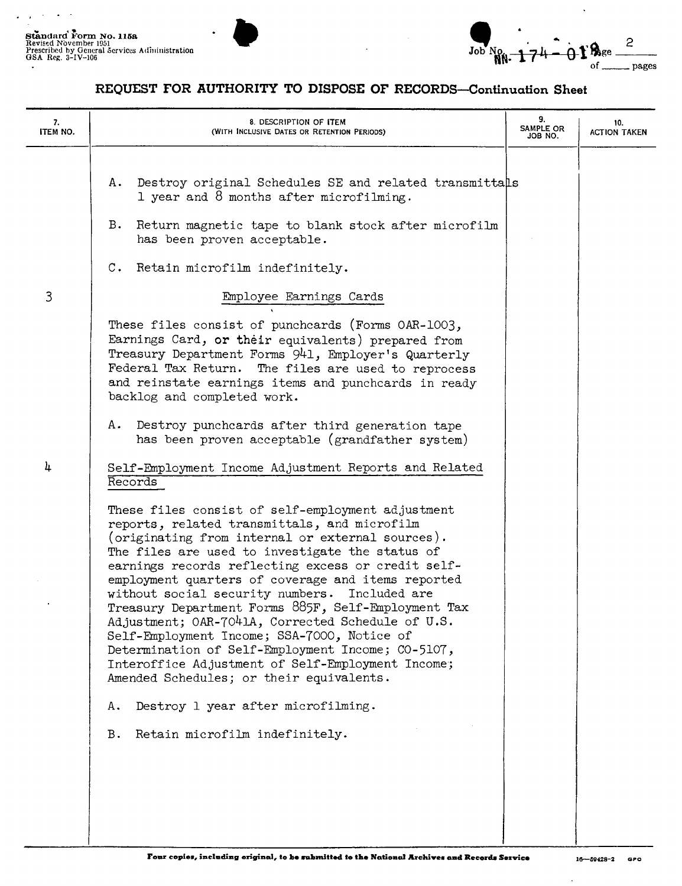$\overline{a}$ 

Standard Form No. 115a.<br>Revised November 1951<br>Prescribed by General Services Administration Standard Form No. 115a<br>Revised November 1951<br>GSA Reg. 3-IV-106 **John No. 2**<br>GSA Reg. 3-IV-106 **John No. 2 Job No. 2 Job No. 2 Job No. 2 Job No. 2 Job No. 2 G 174 O. 1 B**ge <u>and</u>  $\frac{2}{\text{age}}$   $\frac{2}{\text{ages}}$ 

## **REQUEST FOR AUTHORITY TO DISPOSE OF RECORDS-Continuation Sheet**

| 7.<br>ITEM NO. | 8. DESCRIPTION OF ITEM<br>(WITH INCLUSIVE DATES OR RETENTION PERIODS)                                                                                                                                                                                                                                                                                                                                                                                                                                                                                                                                                                                                                                                                                                                                                                                                                                | 9.<br>SAMPLE OR<br>JOB NO. | 10.<br><b>ACTION TAKEN</b> |
|----------------|------------------------------------------------------------------------------------------------------------------------------------------------------------------------------------------------------------------------------------------------------------------------------------------------------------------------------------------------------------------------------------------------------------------------------------------------------------------------------------------------------------------------------------------------------------------------------------------------------------------------------------------------------------------------------------------------------------------------------------------------------------------------------------------------------------------------------------------------------------------------------------------------------|----------------------------|----------------------------|
|                | Destroy original Schedules SE and related transmittals<br>Α.<br>1 year and 8 months after microfilming.<br>Return magnetic tape to blank stock after microfilm<br>в.<br>has been proven acceptable.<br>Retain microfilm indefinitely.<br>$\mathbb{C}$ .                                                                                                                                                                                                                                                                                                                                                                                                                                                                                                                                                                                                                                              |                            |                            |
| 3              | Employee Earnings Cards<br>These files consist of punchcards (Forms OAR-1003,<br>Earnings Card, or their equivalents) prepared from<br>Treasury Department Forms 941, Employer's Quarterly<br>Federal Tax Return.<br>The files are used to reprocess<br>and reinstate earnings items and punchcards in ready<br>backlog and completed work.<br>Destroy punchcards after third generation tape<br>Α.                                                                                                                                                                                                                                                                                                                                                                                                                                                                                                  |                            |                            |
| 4              | has been proven acceptable (grandfather system)<br>Self-Employment Income Adjustment Reports and Related<br>Records<br>These files consist of self-employment adjustment<br>reports, related transmittals, and microfilm<br>(originating from internal or external sources).<br>The files are used to investigate the status of<br>earnings records reflecting excess or credit self-<br>employment quarters of coverage and items reported<br>without social security numbers.<br>Included are<br>Treasury Department Forms 885F, Self-Employment Tax<br>Adjustment; OAR-7041A, Corrected Schedule of U.S.<br>Self-Employment Income; SSA-7000, Notice of<br>Determination of Self-Employment Income; CO-5107,<br>Interoffice Adjustment of Self-Employment Income;<br>Amended Schedules; or their equivalents.<br>Destroy 1 year after microfilming.<br>А.<br>Retain microfilm indefinitely.<br>в. |                            |                            |
|                |                                                                                                                                                                                                                                                                                                                                                                                                                                                                                                                                                                                                                                                                                                                                                                                                                                                                                                      |                            |                            |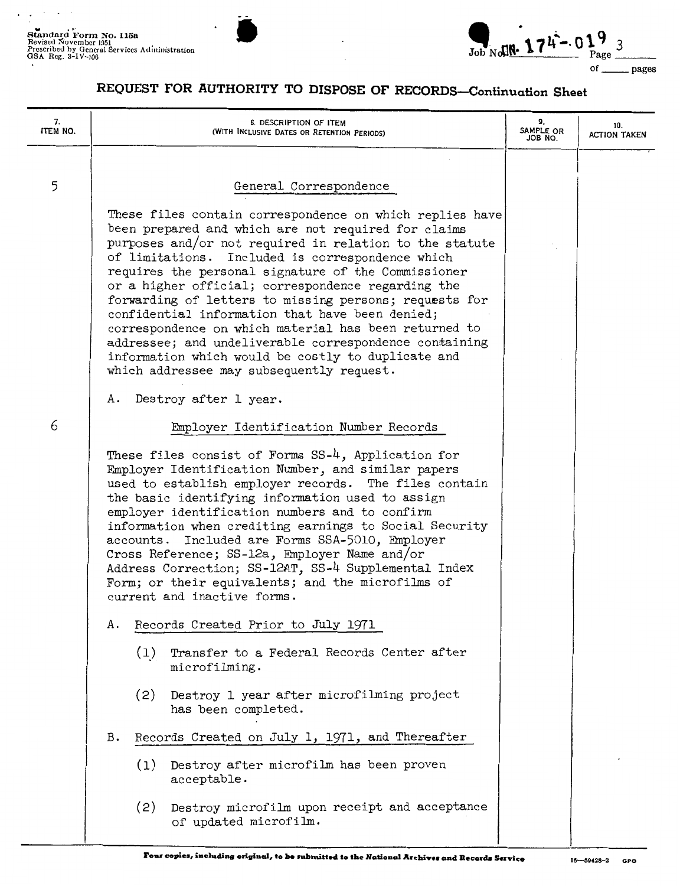

## **REQUEST FOR AUTHORITY TO DISPOSE OF RECORDS-Continuation Sheet**

| 7.<br>ITEM NO. |                                                                                                                                                                                                                                                                                                                                                                                                                                                                                                                                                                                   | 8. DESCRIPTION OF ITEM<br>(WITH INCLUSIVE DATES OR RETENTION PERIODS)                                                                                                                                                                                                                                                                                                                                                                        | 9.<br>SAMPLE OR<br>JOB NO. | 10.<br><b>ACTION TAKEN</b> |
|----------------|-----------------------------------------------------------------------------------------------------------------------------------------------------------------------------------------------------------------------------------------------------------------------------------------------------------------------------------------------------------------------------------------------------------------------------------------------------------------------------------------------------------------------------------------------------------------------------------|----------------------------------------------------------------------------------------------------------------------------------------------------------------------------------------------------------------------------------------------------------------------------------------------------------------------------------------------------------------------------------------------------------------------------------------------|----------------------------|----------------------------|
| 5              |                                                                                                                                                                                                                                                                                                                                                                                                                                                                                                                                                                                   | General Correspondence<br>These files contain correspondence on which replies have<br>been prepared and which are not required for claims<br>purposes and/or not required in relation to the statute<br>Included is correspondence which<br>of limitations.                                                                                                                                                                                  |                            |                            |
|                |                                                                                                                                                                                                                                                                                                                                                                                                                                                                                                                                                                                   | requires the personal signature of the Commissioner<br>or a higher official; correspondence regarding the<br>forwarding of letters to missing persons; requests for<br>confidential information that have been denied;<br>correspondence on which material has been returned to<br>addressee; and undeliverable correspondence containing<br>information which would be costly to duplicate and<br>which addressee may subsequently request. |                            |                            |
|                | А.                                                                                                                                                                                                                                                                                                                                                                                                                                                                                                                                                                                | Destroy after 1 year.                                                                                                                                                                                                                                                                                                                                                                                                                        |                            |                            |
| 6              |                                                                                                                                                                                                                                                                                                                                                                                                                                                                                                                                                                                   | Employer Identification Number Records                                                                                                                                                                                                                                                                                                                                                                                                       |                            |                            |
|                | These files consist of Forms SS-4, Application for<br>Employer Identification Number, and similar papers<br>used to establish employer records. The files contain<br>the basic identifying information used to assign<br>employer identification numbers and to confirm<br>information when crediting earnings to Social Security<br>accounts. Included are Forms SSA-5010, Employer<br>Cross Reference; SS-12a, Employer Name and/or<br>Address Correction; SS-12AT, SS-4 Supplemental Index<br>Form; or their equivalents; and the microfilms of<br>current and inactive forms. |                                                                                                                                                                                                                                                                                                                                                                                                                                              |                            |                            |
|                | А.                                                                                                                                                                                                                                                                                                                                                                                                                                                                                                                                                                                | Records Created Prior to July 1971                                                                                                                                                                                                                                                                                                                                                                                                           |                            |                            |
|                |                                                                                                                                                                                                                                                                                                                                                                                                                                                                                                                                                                                   | (1)<br>Transfer to a Federal Records Center after<br>microfilming.                                                                                                                                                                                                                                                                                                                                                                           |                            |                            |
|                |                                                                                                                                                                                                                                                                                                                                                                                                                                                                                                                                                                                   | Destroy 1 year after microfilming project<br>(2)<br>has been completed.                                                                                                                                                                                                                                                                                                                                                                      |                            |                            |
|                | в.                                                                                                                                                                                                                                                                                                                                                                                                                                                                                                                                                                                | Records Created on July 1, 1971, and Thereafter                                                                                                                                                                                                                                                                                                                                                                                              |                            |                            |
|                |                                                                                                                                                                                                                                                                                                                                                                                                                                                                                                                                                                                   | Destroy after microfilm has been proven<br>(1)<br>acceptable.                                                                                                                                                                                                                                                                                                                                                                                |                            |                            |
|                |                                                                                                                                                                                                                                                                                                                                                                                                                                                                                                                                                                                   | Destroy microfilm upon receipt and acceptance<br>(2)<br>of updated microfilm.                                                                                                                                                                                                                                                                                                                                                                |                            |                            |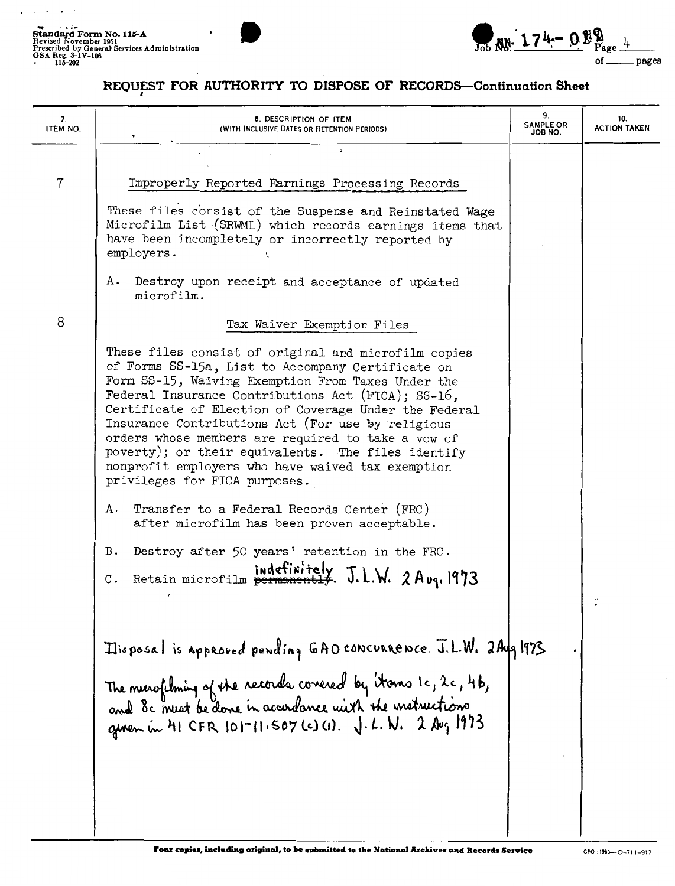$\sim$   $\sim$   $\sim$ 

 $\cdot$ 



## REQUEST FOR AUTHORITY TO DISPOSE OF RECORDS-Continuation Sheet

| 7.<br>ITEM NO. | 8. DESCRIPTION OF ITEM<br>(WITH INCLUSIVE DATES OR RETENTION PERIODS)                                                                                                                                                                                                                                                                                                                                                                                                                                                                 | 9.<br><b>SAMPLE OR</b><br>JOB NO. | 10.<br><b>ACTION TAKEN</b> |
|----------------|---------------------------------------------------------------------------------------------------------------------------------------------------------------------------------------------------------------------------------------------------------------------------------------------------------------------------------------------------------------------------------------------------------------------------------------------------------------------------------------------------------------------------------------|-----------------------------------|----------------------------|
| $\overline{7}$ | $\ddot{\bullet}$<br>Improperly Reported Earnings Processing Records<br>These files consist of the Suspense and Reinstated Wage<br>Microfilm List (SRWML) which records earnings items that<br>have been incompletely or incorrectly reported by<br>employers.<br>Destroy upon receipt and acceptance of updated<br>А.<br>microfilm.                                                                                                                                                                                                   |                                   |                            |
| 8              | Tax Waiver Exemption Files                                                                                                                                                                                                                                                                                                                                                                                                                                                                                                            |                                   |                            |
|                | These files consist of original and microfilm copies<br>of Forms SS-15a, List to Accompany Certificate on<br>Form SS-15, Waiving Exemption From Taxes Under the<br>Federal Insurance Contributions Act (FICA); SS-16,<br>Certificate of Election of Coverage Under the Federal<br>Insurance Contributions Act (For use by religious<br>orders whose members are required to take a vow of<br>poverty); or their equivalents. The files identify<br>nonprofit employers who have waived tax exemption<br>privileges for FICA purposes. |                                   |                            |
|                | Transfer to a Federal Records Center (FRC)<br>Α.<br>after microfilm has been proven acceptable.                                                                                                                                                                                                                                                                                                                                                                                                                                       |                                   |                            |
|                | Destroy after 50 years' retention in the FRC.<br>в.<br>J.L.W. 2 A <sub>vq</sub> . 1973<br>Retain microfilm<br>$\mathbf{C}$ .                                                                                                                                                                                                                                                                                                                                                                                                          |                                   |                            |
|                | Itisposal is approved pending GAO concurrence. J.L.W. 2Aug 1973<br>The merofilming of the records covered by itoms 1c, 2c, 4b,<br>and 8c must be done in accordance with the matructions<br>given in $H1$ CFR 101-11.507 (c) (1). J. L. W. 2 Aug 1973                                                                                                                                                                                                                                                                                 |                                   |                            |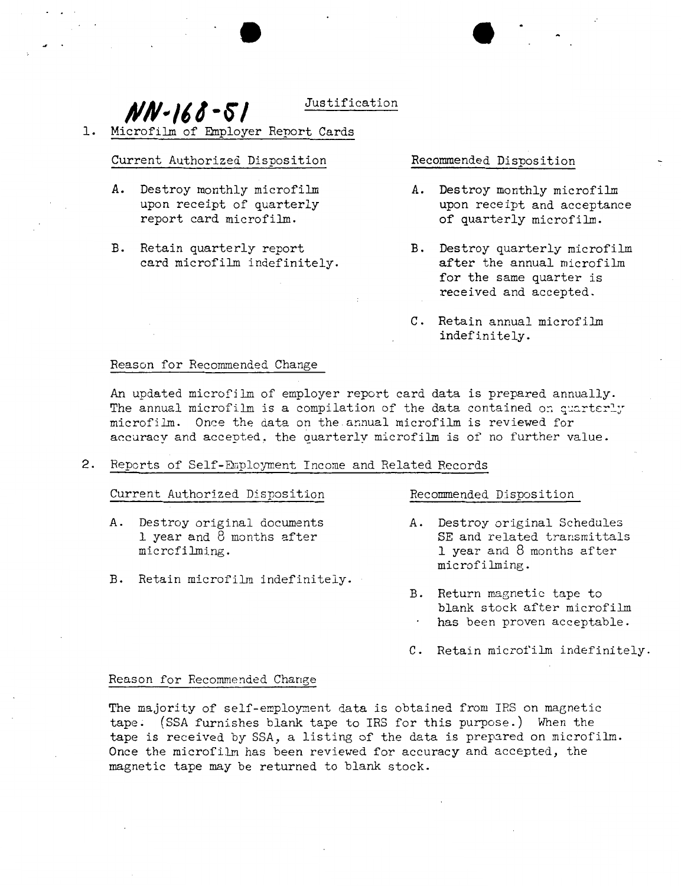$MV-168-51$  Justification

1. Microfilm of Employer Report Cards

#### Current Authorized Disposition Recommended Disposition

- A. Destroy monthly microfilm  $\begin{array}{ccc}\nA. & \text{Destroy monthly microfilm} \\
\text{upon receipt and acceptan}\n\end{array}$ report card microfilm.
- B. Retain quarterly report B. Destroy quarterly microfilm card microfilm indefinitely.<br>
after the annual microfilm card microfilm indefinitely.

- upon receipt and acceptance<br>of quarterly microfilm.
- for the same quarter is received and accepted.
- C. Retain annual microfilm indefinitely.

### Reason for Recommended Change

An updated microfilm of employer report card data is prepared annually. The annual microfilm is a compilation of the data contained on quarterly microfilm. Once the data on the annual microfilm is reviewed for accuracy and accepted. the quarterly microfilm is of no further value.

2. Reports of Self-Employment Income and Related Records

### Current Authorized Disposition Recommended Disposition

- 
- B. Retain microfilm indefinitely.

- A. Destroy original documents  $\begin{array}{ccc}\n\text{A.} & \text{Destroy original Scheduling} \\
\text{I year and 8 months after} & \text{SE and related transmittals}\n\end{array}$ l year and 8 months after SE and related transmittals microfilming.<br>
1 year and 8 months after 1 year and 8 months after microfilming.
	- B. Return magnetic tape to blank stock after microfilm has been proven acceptable.
	- C. Retain microfilm indefinitely.

#### Reason for Recommended Change

The majority of self-employment data is obtained from IRS on magnetic tape. (SSA furnishes blank tape to IRS for this purpose.) When the tape is received by SSA, a listing of the data is prepared on microfilm. Once the microfilm has been reviewed for accuracy and accepted, the magnetic tape may be returned to blank stock.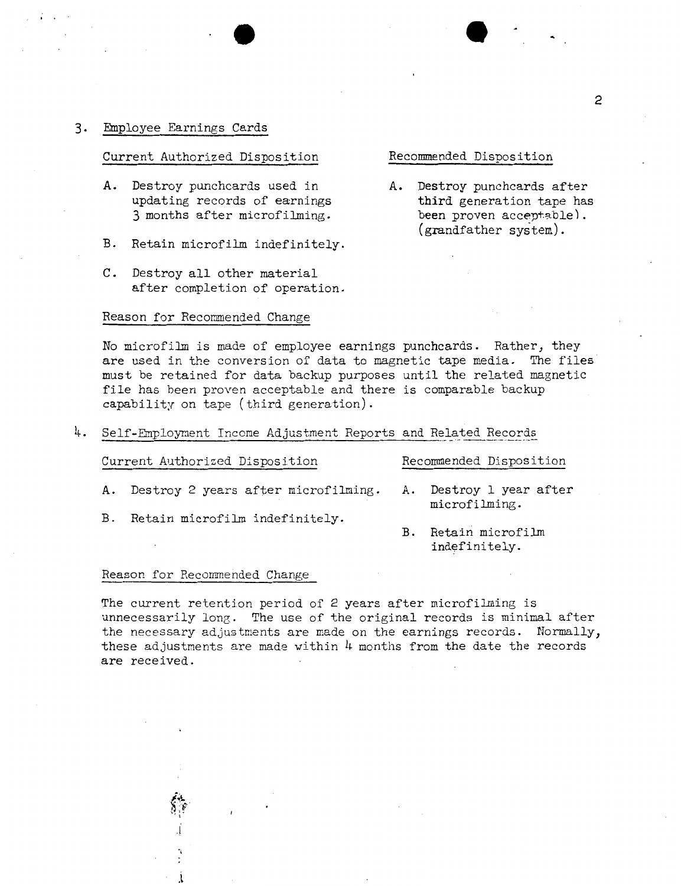#### 3. Employee Earnings Cards

#### Current Authorized Disposition Recommended Disposition

- A. Destroy punchcards used in A. Destroy punchcards after updating records of earnings third generation tape has updating records of earnings third generation tape has<br>3 months after microfilming. been proven acceptable). 3 months after microfilming.
- B. Retain microfilm indefinitely.
- C. Destroy all other material after completion of operation.

#### Reason for Recommended Change

### No microfilm is made of employee earnings punchcards. Rather, they are used in the conversion of data to magnetic tape media. The files must be retained for data backup purposes until the related magnetic file has been proven acceptable and there is comparable backup capability on tape (third generation).

 $4.$  Self-Employment Income Adjustment Reports and Related Records

| Current Authorized Disposition |                                        |  | Recommended Disposition                  |  |  |
|--------------------------------|----------------------------------------|--|------------------------------------------|--|--|
|                                | A. Destroy 2 years after microfilming. |  | A. Destroy 1 year after<br>microfilming. |  |  |
| B.                             | Retain microfilm indefinitely.         |  | Retain microfilm                         |  |  |

#### Reason for Recommended Change

. I

.l

The current retention period of 2 years after microfilming is unnecessarily long. The use of the original records is minimal after the necessary adjustments are made on the earnings records. Normally, these adjustments are made within  $\mu$  months from the date the records **are** received .

indefinitely.

(grandfather system).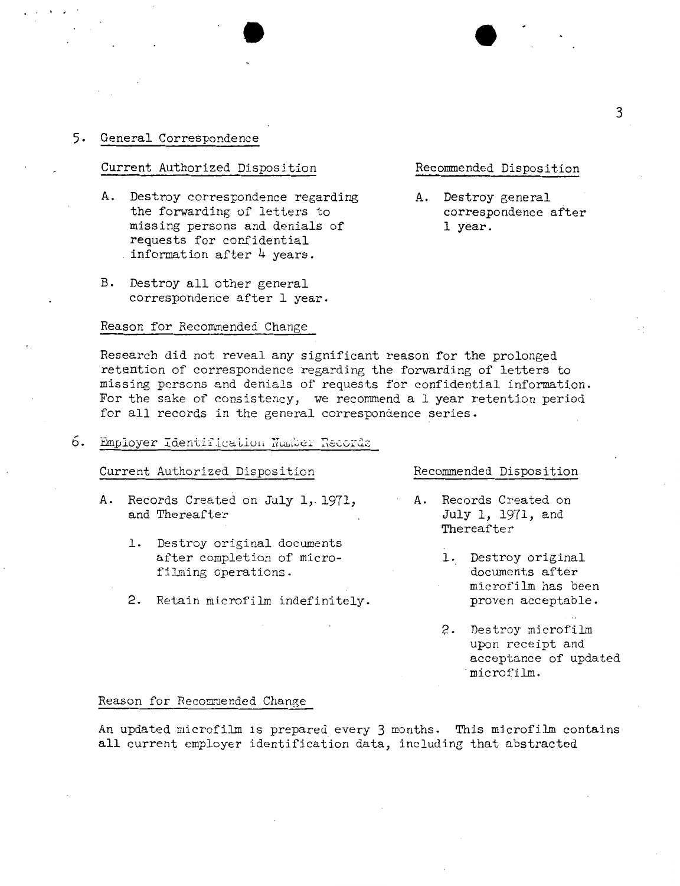### 5. General Correspondence

. ,  $\sim$  .

### Current Authorized Disposition Recommended Disposition

- A. Destroy correspondence regarding and all Destroy general the forwarding of letters to the correspondence after the forwarding of letters to correspondence and denials of the correspondence after. missing persons and denials of requests for confidential . information after  $4$  years.
- B. Destroy all other general correspondence after 1 year.

#### Reason for Recommended Change

Research did not reveal any significant reason for the prolonged retention of correspondence regarding the forwarding of letters to missing persons and denials of requests for confidential information. For the sake of consistency, we recommend a 1 year retention period for all records in the general correspondence series.

 $6.$  Employer Identification Number Records

#### Current Authorized Disposition Recommended Disposition

- **A.** Records Created on July 1,. 1971, **A.** Records Created on and Thereafter  $July 1, 1971, and$ 
	- 1. Destroy original documents after completion of micro-<br>
	1. Destroy original<br>
	documents after filming operations.
	- 2. Retain microfilm indefinitely. proven acceptable.

Thereafter

- microfilm has been
- 2. Destroy microfilm upon receipt and acceptance of updated microfilm.

#### Reason for Recommended Change

An updated microfilm is prepared every 3 months. This microfilm contains all current employer identification data, including that abstracted